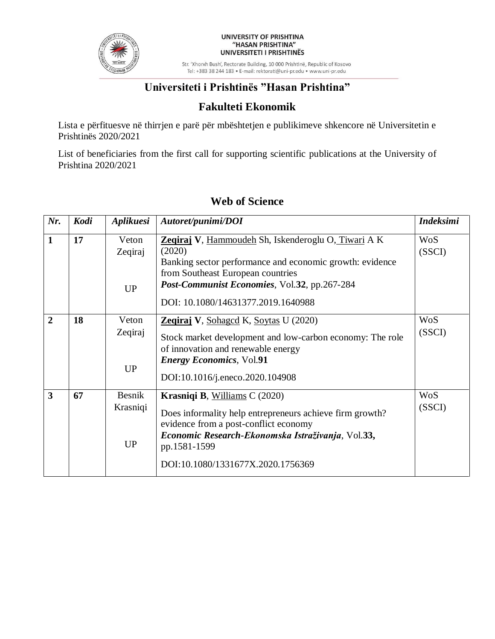

#### UNIVERSITY OF PRISHTINA "HASAN PRISHTINA" UNIVERSITETI I PRISHTINËS

Str. 'Xhorxh Bush', Rectorate Building, 10 000 Prishtinë, Republic of Kosovo Tel: +383 38 244 183 · E-mail: rektorati@uni-pr.edu · www.uni-pr.edu

# **Universiteti i Prishtinës "Hasan Prishtina"**

#### **Fakulteti Ekonomik**

Lista e përfituesve në thirrjen e parë për mbështetjen e publikimeve shkencore në Universitetin e Prishtinës 2020/2021

List of beneficiaries from the first call for supporting scientific publications at the University of Prishtina 2020/2021

| Nr.            | Kodi | Aplikuesi                              | Autoret/punimi/DOI                                                                                                                                                                                                                                   | <b>Indeksimi</b>     |
|----------------|------|----------------------------------------|------------------------------------------------------------------------------------------------------------------------------------------------------------------------------------------------------------------------------------------------------|----------------------|
| $\mathbf{1}$   | 17   | Veton<br>Zeqiraj<br><b>UP</b>          | Zegiraj V, Hammoudeh Sh, Iskenderoglu O, Tiwari A K<br>(2020)<br>Banking sector performance and economic growth: evidence<br>from Southeast European countries<br>Post-Communist Economies, Vol.32, pp.267-284<br>DOI: 10.1080/14631377.2019.1640988 | <b>WoS</b><br>(SSCI) |
| $\overline{2}$ | 18   | Veton<br>Zeqiraj<br><b>UP</b>          | <b>Zeqiraj V</b> , Sohaged K, Soytas U (2020)<br>Stock market development and low-carbon economy: The role<br>of innovation and renewable energy<br><b>Energy Economics</b> , Vol.91<br>DOI:10.1016/j.eneco.2020.104908                              | <b>WoS</b><br>(SSCI) |
| $\overline{3}$ | 67   | <b>Besnik</b><br>Krasniqi<br><b>UP</b> | Krasniqi B, Williams C (2020)<br>Does informality help entrepreneurs achieve firm growth?<br>evidence from a post-conflict economy<br>Economic Research-Ekonomska Istraživanja, Vol.33,<br>pp.1581-1599<br>DOI:10.1080/1331677X.2020.1756369         | <b>WoS</b><br>(SSCI) |

# **Web of Science**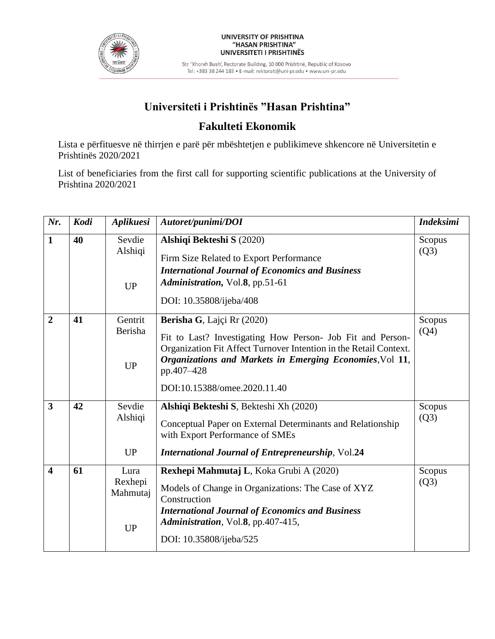

Str. 'Xhorxh Bush', Rectorate Building, 10 000 Prishtinë, Republic of Kosovo Tel: +383 38 244 183 · E-mail: rektorati@uni-pr.edu · www.uni-pr.edu

# **Universiteti i Prishtinës "Hasan Prishtina"**

## **Fakulteti Ekonomik**

Lista e përfituesve në thirrjen e parë për mbështetjen e publikimeve shkencore në Universitetin e Prishtinës 2020/2021

List of beneficiaries from the first call for supporting scientific publications at the University of Prishtina 2020/2021

| Nr.                     | Kodi | Aplikuesi                                | Autoret/punimi/DOI                                                                                                                                                                                                                                                      | <b>Indeksimi</b> |
|-------------------------|------|------------------------------------------|-------------------------------------------------------------------------------------------------------------------------------------------------------------------------------------------------------------------------------------------------------------------------|------------------|
| $\mathbf{1}$            | 40   | Sevdie<br>Alshiqi<br><b>UP</b>           | Alshiqi Bekteshi S (2020)<br>Firm Size Related to Export Performance<br><b>International Journal of Economics and Business</b><br>Administration, Vol.8, pp.51-61<br>DOI: 10.35808/ijeba/408                                                                            | Scopus<br>(Q3)   |
| $\overline{2}$          | 41   | Gentrit<br>Berisha<br>UP                 | Berisha G, Lajçi Rr (2020)<br>Fit to Last? Investigating How Person- Job Fit and Person-<br>Organization Fit Affect Turnover Intention in the Retail Context.<br>Organizations and Markets in Emerging Economies, Vol 11,<br>pp.407-428<br>DOI:10.15388/omee.2020.11.40 | Scopus<br>(Q4)   |
| $\overline{\mathbf{3}}$ | 42   | Sevdie<br>Alshiqi<br><b>UP</b>           | Alshiqi Bekteshi S, Bekteshi Xh (2020)<br>Conceptual Paper on External Determinants and Relationship<br>with Export Performance of SMEs<br><b>International Journal of Entrepreneurship, Vol.24</b>                                                                     | Scopus<br>(Q3)   |
| $\overline{\mathbf{4}}$ | 61   | Lura<br>Rexhepi<br>Mahmutaj<br><b>UP</b> | Rexhepi Mahmutaj L, Koka Grubi A (2020)<br>Models of Change in Organizations: The Case of XYZ<br>Construction<br><b>International Journal of Economics and Business</b><br>Administration, Vol.8, pp.407-415,<br>DOI: 10.35808/ijeba/525                                | Scopus<br>(Q3)   |